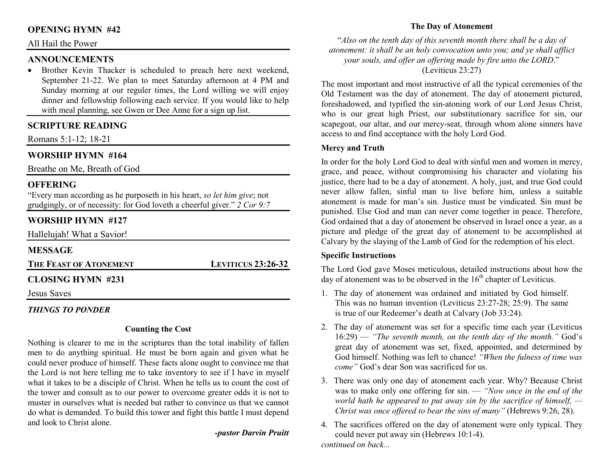# **OPENING HYMN #42**

## All Hail the Power

# **ANNOUNCEMENTS**

 • Brother Kevin Thacker is scheduled to preach here next weekend, September 21-22. We plan to meet Saturday afternoon at 4 PM and Sunday morning at our reguler times, the Lord willing we will enjoy dinner and fellowship following each service. If you would like to help with meal planning, see Gwen or Dee Anne for a sign up list.

# **SCRIPTURE READING**

Romans 5:1-12; 18-21

# **WORSHIP HYMN #164**

Breathe on Me, Breath of God

## **OFFERING**

 "Every man according as he purposeth in his heart, *so let him give*; not grudgingly, or of necessity: for God loveth a cheerful giver." *2 Cor 9:7*

# **WORSHIP HYMN #127**

Hallelujah! What a Savior!

# **MESSAGE**

**THE FEAST OF ATONEMENT**

# **CLOSING HYMN #231**

Jesus Saves

## *THINGS TO PONDER*

#### **Counting the Cost**

Nothing is clearer to me in the scriptures than the total inability of fallen men to do anything spiritual. He must be born again and given what he could never produce of himself. These facts alone ought to convince me that the Lord is not here telling me to take inventory to see if I have in myself what it takes to be a disciple of Christ. When he tells us to count the cost of the tower and consult as to our power to overcome greater odds it is not to muster in ourselves what is needed but rather to convince us that we cannot do what is demanded. To build this tower and fight this battle I must depend and look to Christ alone.

# *-pastor Darvin Pruitt*

**LEVITICUS 23:26-32** 

# **The Day of Atonement**

"*Also on the tenth day of this seventh month there shall be a day of atonement: it shall be an holy convocation unto you; and ye shall afflict your souls, and offer an offering made by fire unto the LORD*." (Leviticus 23:27)

The most important and most instructive of all the typical ceremonies of the Old Testament was the day of atonement. The day of atonement pictured, foreshadowed, and typified the sin-atoning work of our Lord Jesus Christ, who is our great high Priest, our substitutionary sacrifice for sin, our scapegoat, our altar, and our mercy-seat, through whom alone sinners have access to and find acceptance with the holy Lord God.

### **Mercy and Truth**

In order for the holy Lord God to deal with sinful men and women in mercy, grace, and peace, without compromising his character and violating his justice, there had to be a day of atonement. A holy, just, and true God could never allow fallen, sinful man to live before him, unless a suitable atonement is made for man's sin. Justice must be vindicated. Sin must be punished. Else God and man can never come together in peace. Therefore, God ordained that a day of atonement be observed in Israel once a year, as a picture and pledge of the great day of atonement to be accomplished at Calvary by the slaying of the Lamb of God for the redemption of his elect.

## **Specific Instructions**

The Lord God gave Moses meticulous, detailed instructions about how the day of atonement was to be observed in the  $16<sup>th</sup>$  chapter of Leviticus.

- 1. The day of atonement was ordained and initiated by God himself. This was no human invention (Leviticus 23:27-28; 25:9). The same is true of our Redeemer's death at Calvary (Job 33:24).
- 2. The day of atonement was set for a specific time each year (Leviticus 16:29) — *"The seventh month, on the tenth day of the month."* God's great day of atonement was set, fixed, appointed, and determined by God himself. Nothing was left to chance! *"When the fulness of time was come"* God's dear Son was sacrificed for us.
- 3. There was only one day of atonement each year. Why? Because Christ was to make only one offering for sin. — *"Now once in the end of the world hath he appeared to put away sin by the sacrifice of himself, — Christ was once offered to bear the sins of many"* (Hebrews 9:26, 28).
- 4. The sacrifices offered on the day of atonement were only typical. They could never put away sin (Hebrews 10:1-4). *continued on back...*